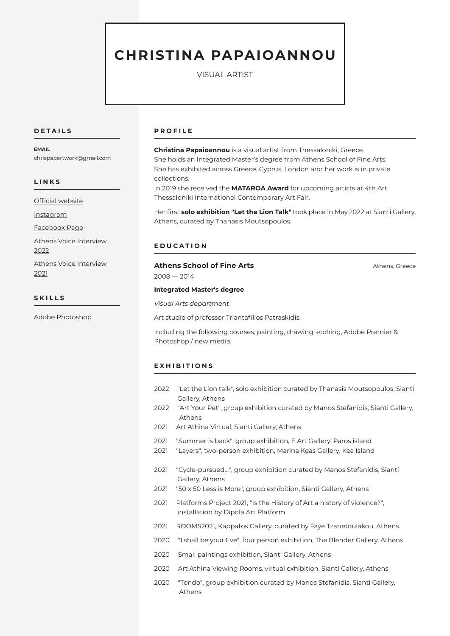# **CHRISTINA PAPAIOANNOU**

VISUAL ARTIST

## **D E T A I L S**

#### **EMAIL**

chrispapartwork@gmail.com

#### **L I N K S**

[Official website](https://www.christinapapaioannou.com/)

**[Instagram](https://www.instagram.com/christina_papaioannou_artwork/)** 

[Facebook Page](https://www.facebook.com/CPapaioannouArt)

[Athens Voice Interview](https://www.athensvoice.gr/culture/arts/756709-hristina-papaioannoy-let-lion-talk-se-poia-glossa-milaei-liontari?fbclid=IwAR3neo4zyZyH1WV7NqPpLftz5d5g6uk28M7ktGSV7yyBX609vNarXV-pPJc)  [2022](https://www.athensvoice.gr/culture/arts/756709-hristina-papaioannoy-let-lion-talk-se-poia-glossa-milaei-liontari?fbclid=IwAR3neo4zyZyH1WV7NqPpLftz5d5g6uk28M7ktGSV7yyBX609vNarXV-pPJc)

[Athens Voice Interview](https://www.athensvoice.gr/culture/arts/736624-hristina-papaioannoy-empneomai-idiaitera-apo-filosofika-zitimata)  [2021](https://www.athensvoice.gr/culture/arts/736624-hristina-papaioannoy-empneomai-idiaitera-apo-filosofika-zitimata)

## **S K I L L S**

Adobe Photoshop

#### **P R O F I L E**

**Christina Papaioannou** is a visual artist from Thessaloniki, Greece. She holds an Integrated Master's degree from Athens School of Fine Arts. She has exhibited across Greece, Cyprus, London and her work is in private collections.

In 2019 she received the **MATAROA Award** for upcoming artists at 4th Art Thessaloniki International Contemporary Art Fair.

Her first **solo exhibition "Let the Lion Talk"** took place in May 2022 at Sianti Gallery, Athens, curated by Thanasis Moutsopoulos.

# **E D U C A T I O N**

# Athens School of Fine Arts **Athens, Greece Athens, Greece**

2008 — 2014

## **Integrated Master's degree**

*Visual Arts department*

Art studio of professor Triantafillos Patraskidis.

Including the following courses; painting, drawing, etching, Adobe Premier & Photoshop / new media.

### **E X H I B I T I O N S**

- 2022 "Let the Lion talk", solo exhibition curated by Thanasis Moutsopoulos, Sianti Gallery, Athens
- 2022 "Art Your Pet", group exhibition curated by Manos Stefanidis, Sianti Gallery, Athens
- 2021 Art Athina Virtual, Sianti Gallery, Athens
- 2021 "Summer is back", group exhibition, E Art Gallery, Paros island
- 2021 "Layers", two-person exhibition, Marina Keas Gallery, Kea Island
- 2021 "Cycle-pursued…", group exhibition curated by Manos Stefanidis, Sianti Gallery, Athens
- 2021 "50 x 50 Less is More", group exhibition, Sianti Gallery, Athens
- 2021 Platforms Project 2021, "Is the History of Art a history of violence?", installation by Dipola Art Platform
- 2021 ROOMS2021, Kappatos Gallery, curated by Faye Tzanetoulakou, Athens
- 2020 "I shall be your Eve", four person exhibition, The Blender Gallery, Athens
- 2020 Small paintings exhibition, Sianti Gallery, Athens
- 2020 Art Athina Viewing Rooms, virtual exhibition, Sianti Gallery, Athens
- 2020 "Tondo", group exhibition curated by Manos Stefanidis, Sianti Gallery, Athens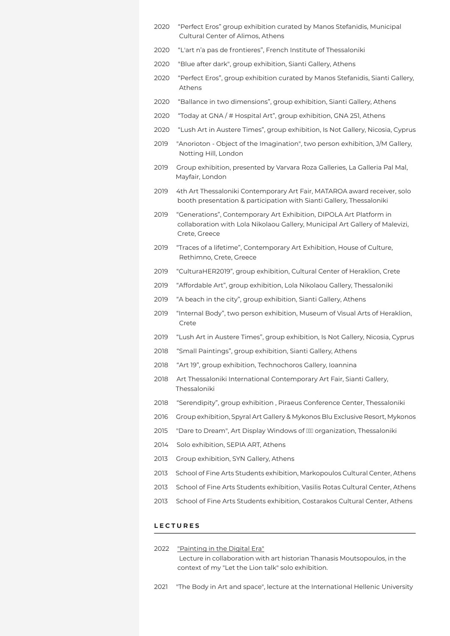- 2020 "Perfect Eros" group exhibition curated by Manos Stefanidis, Municipal Cultural Center of Alimos, Athens
- 2020 "L'art n'a pas de frontieres", French Institute of Thessaloniki
- 2020 "Blue after dark", group exhibition, Sianti Gallery, Athens
- 2020 "Perfect Eros", group exhibition curated by Manos Stefanidis, Sianti Gallery, Athens
- 2020 "Ballance in two dimensions", group exhibition, Sianti Gallery, Athens
- 2020 "Today at GNA / # Hospital Art", group exhibition, GNA 251, Athens
- 2020 "Lush Art in Austere Times", group exhibition, Is Not Gallery, Nicosia, Cyprus
- 2019 "Anorioton Object of the Imagination", two person exhibition, J/M Gallery, Notting Hill, London
- 2019 Group exhibition, presented by Varvara Roza Galleries, La Galleria Pal Mal, Mayfair, London
- 2019 4th Art Thessaloniki Contemporary Art Fair, MATAROA award receiver, solo booth presentation & participation with Sianti Gallery, Thessaloniki
- 2019 "Generations", Contemporary Art Exhibition, DIPOLA Art Platform in collaboration with Lola Nikolaou Gallery, Municipal Art Gallery of Malevizi, Crete, Greece
- 2019 "Traces of a lifetime", Contemporary Art Exhibition, House of Culture, Rethimno, Crete, Greece
- 2019 "CulturaHER2019", group exhibition, Cultural Center of Heraklion, Crete
- 2019 "Affordable Art", group exhibition, Lola Nikolaou Gallery, Thessaloniki
- 2019 "A beach in the city", group exhibition, Sianti Gallery, Athens
- 2019 "Internal Body", two person exhibition, Museum of Visual Arts of Heraklion, Crete
- 2019 "Lush Art in Austere Times", group exhibition, Is Not Gallery, Nicosia, Cyprus
- 2018 "Small Paintings", group exhibition, Sianti Gallery, Athens
- 2018 "Art 19", group exhibition, Technochoros Gallery, Ioannina
- 2018 Art Thessaloniki International Contemporary Art Fair, Sianti Gallery, Thessaloniki
- 2018 "Serendipity", group exhibition , Piraeus Conference Center, Thessaloniki
- 2016 Group exhibition, Spyral Art Gallery & Mykonos Blu Exclusive Resort, Mykonos
- 2015 "Dare to Dream", Art Display Windows of **IIII** organization, Thessaloniki
- 2014 Solo exhibition, SEPIA ART, Athens
- 2013 Group exhibition, SYN Gallery, Athens
- 2013 School of Fine Arts Students exhibition, Markopoulos Cultural Center, Athens
- 2013 School of Fine Arts Students exhibition, Vasilis Rotas Cultural Center, Athens
- 2013 School of Fine Arts Students exhibition, Costarakos Cultural Center, Athens

## **L E C T U R E S**

- 2022 ["Painting in the Digital Era"](https://www.youtube.com/watch?v=gDfmHIe8p8k&t=28s) Lecture in collaboration with art historian Thanasis Moutsopoulos, in the context of my "Let the Lion talk" solo exhibition.
- 2021 "The Body in Art and space", lecture at the International Hellenic University